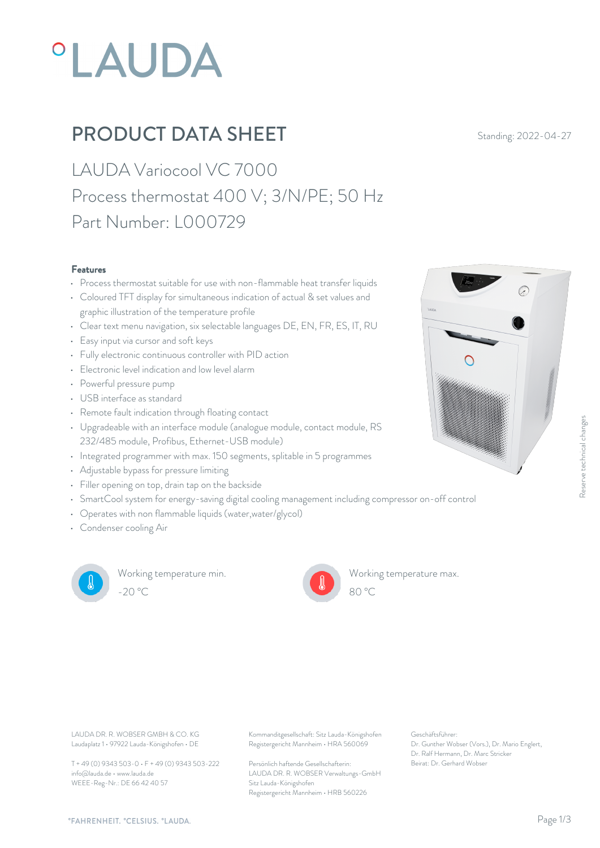# **°LAUDA**

## **PRODUCT DATA SHEET** Standing: 2022-04-27

LAUDA Variocool VC 7000 Process thermostat 400 V; 3/N/PE; 50 Hz Part Number: L000729

#### Features

- Process thermostat suitable for use with non-flammable heat transfer liquids
- Coloured TFT display for simultaneous indication of actual & set values and graphic illustration of the temperature profile
- Clear text menu navigation, six selectable languages DE, EN, FR, ES, IT, RU
- Easy input via cursor and soft keys
- Fully electronic continuous controller with PID action
- Electronic level indication and low level alarm
- Powerful pressure pump
- USB interface as standard
- Remote fault indication through floating contact
- Upgradeable with an interface module (analogue module, contact module, RS 232/485 module, Profibus, Ethernet-USB module)
- Integrated programmer with max. 150 segments, splitable in 5 programmes
- Adjustable bypass for pressure limiting
- Filler opening on top, drain tap on the backside
- SmartCool system for energy-saving digital cooling management including compressor on-off control
- Operates with non flammable liquids (water,water/glycol)
- Condenser cooling Air



Working temperature min. -20 °C 80 °C

Working temperature max.



Geschäftsführer: Dr. Gunther Wobser (Vors.), Dr. Mario Englert, Dr. Ralf Hermann, Dr. Marc Stricker

80 °C

Laudaplatz 1 • 97922 Lauda-Königshofen • DE

T + 49 (0) 9343 503-0 • F + 49 (0) 9343 503-222 info@lauda.de • www.lauda.de WEEE-Reg-Nr.: DE 66 42 40 57

LAUDA DR. R. WOBSER GMBH & CO. KG Kommanditgesellschaft: Sitz Lauda-Königshofen Geschäftsführer: Registergericht Mannheim • HRA 560069

> Persönlich haftende Gesellschafterin: Beirat: Dr. Gerhard Wobse LAUDA DR. R. WOBSER Verwaltungs-GmbH Sitz Lauda-Königshofen Registergericht Mannheim • HRB 560226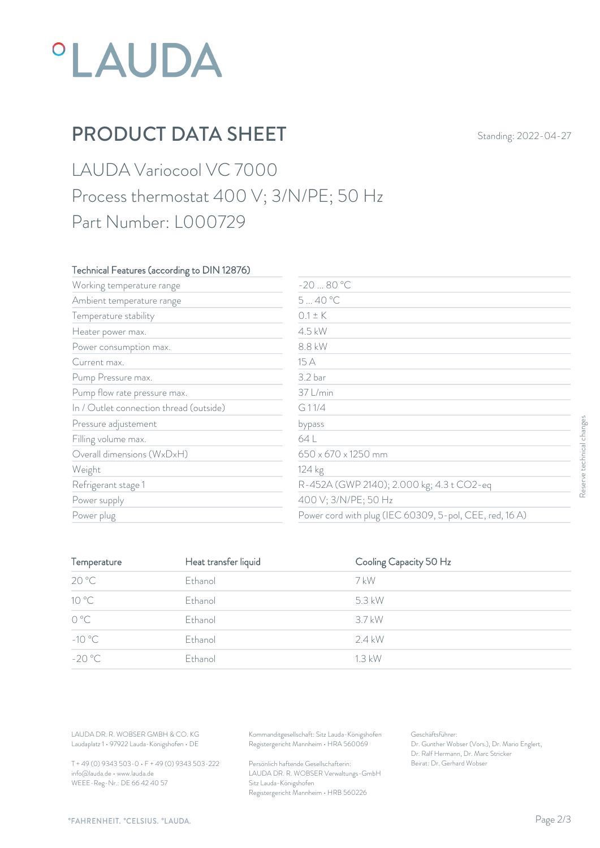# *°LAUDA*

## PRODUCT DATA SHEET Standing: 2022-04-27

## LAUDA Variocool VC 7000 Process thermostat 400 V; 3/N/PE; 50 Hz Part Number: L000729

### Technical Features (according to DIN 12876)

| Working temperature range               | $-2080 °C$                                              |                   |
|-----------------------------------------|---------------------------------------------------------|-------------------|
| Ambient temperature range               | 540 °C                                                  |                   |
| Temperature stability                   | $0.1 \pm K$                                             |                   |
| Heater power max.                       | 4.5 kW                                                  |                   |
| Power consumption max.                  | 8.8 kW                                                  |                   |
| Current max.                            | 15 A                                                    |                   |
| Pump Pressure max.                      | 3.2 bar                                                 |                   |
| Pump flow rate pressure max.            | 37 L/min                                                |                   |
| In / Outlet connection thread (outside) | G11/4                                                   |                   |
| Pressure adjustement                    | bypass                                                  |                   |
| Filling volume max.                     | 64 L                                                    |                   |
| Overall dimensions (WxDxH)              | 650 x 670 x 1250 mm                                     | technical changes |
| Weight                                  | 124 kg                                                  |                   |
| Refrigerant stage 1                     | R-452A (GWP 2140); 2.000 kg; 4.3 t CO2-eq               | Reser             |
| Power supply                            | 400 V; 3/N/PE; 50 Hz                                    |                   |
| Power plug                              | Power cord with plug (IEC 60309, 5-pol, CEE, red, 16 A) |                   |

| Pressure adjustement                                                             |                      | bypass                                                                                 |                                                                    |  |
|----------------------------------------------------------------------------------|----------------------|----------------------------------------------------------------------------------------|--------------------------------------------------------------------|--|
| Filling volume max.                                                              |                      | 64 L                                                                                   |                                                                    |  |
| Overall dimensions (WxDxH)                                                       |                      | 650 x 670 x 1250 mm                                                                    |                                                                    |  |
| Weight                                                                           |                      | 124 kg                                                                                 |                                                                    |  |
| Refrigerant stage 1                                                              |                      |                                                                                        | R-452A (GWP 2140); 2.000 kg; 4.3 t CO2-eq                          |  |
| Power supply                                                                     |                      | 400 V; 3/N/PE; 50 Hz                                                                   |                                                                    |  |
| Power plug                                                                       |                      |                                                                                        | Power cord with plug (IEC 60309, 5-pol, CEE, red, 16 A)            |  |
|                                                                                  |                      |                                                                                        |                                                                    |  |
| Temperature                                                                      | Heat transfer liquid |                                                                                        | Cooling Capacity 50 Hz                                             |  |
| 20 °C                                                                            | Ethanol              | 7 kW                                                                                   |                                                                    |  |
| 10 °C                                                                            | Ethanol              | 5.3 kW                                                                                 |                                                                    |  |
| $\mathrm{O}\ \mathrm{^oC}$                                                       | Ethanol              | 3.7 kW                                                                                 |                                                                    |  |
| $-10^{\circ}$ C                                                                  | Ethanol              | 2.4 kW                                                                                 |                                                                    |  |
| $-20 °C$                                                                         | Ethanol              | 1.3 kW                                                                                 |                                                                    |  |
|                                                                                  |                      |                                                                                        |                                                                    |  |
|                                                                                  |                      |                                                                                        |                                                                    |  |
| LAUDA DR. R. WOBSER GMBH & CO. KG<br>Laudaplatz 1 · 97922 Lauda-Königshofen · DE |                      | Kommanditgesellschaft: Sitz Lauda-Königshofen<br>Registergericht Mannheim · HRA 560069 | Geschäftsführer:<br>Dr. Gunther Wobser (Vors.), Dr. Mario Englert, |  |
| T + 49 (0) 9343 503-0 · F + 49 (0) 9343 503-222                                  |                      | Persönlich haftende Gesellschafterin:                                                  | Dr. Ralf Hermann, Dr. Marc Stricker<br>Beirat: Dr. Gerhard Wobser  |  |

T + 49 (0) 9343 503-0 • F + 49 (0) 9343 503-222 info@lauda.de • www.lauda.de WEEE-Reg-Nr.: DE 66 42 40 57

> Persönlich haftende Gesellschafterin: Beirat: Dr. Gerhard Wobser LAUDA DR. R. WOBSER Verwaltungs-GmbH Sitz Lauda-Königshofen Registergericht Mannheim • HRB 560226